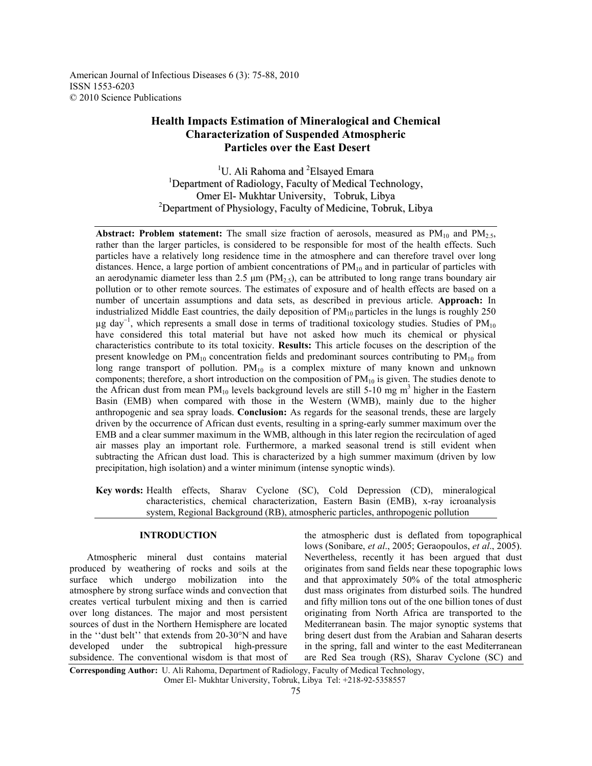American Journal of Infectious Diseases 6 (3): 75-88, 2010 ISSN 1553-6203 © 2010 Science Publications

# **Health Impacts Estimation of Mineralogical and Chemical Characterization of Suspended Atmospheric Particles over the East Desert**

<sup>1</sup>U. Ali Rahoma and <sup>2</sup>Elsayed Emara <sup>1</sup>Department of Radiology, Faculty of Medical Technology, Omer El- Mukhtar University, Tobruk, Libya <sup>2</sup>Department of Physiology, Faculty of Medicine, Tobruk, Libya

**Abstract: Problem statement:** The small size fraction of aerosols, measured as  $PM_{10}$  and  $PM_{2.5}$ , rather than the larger particles, is considered to be responsible for most of the health effects. Such particles have a relatively long residence time in the atmosphere and can therefore travel over long distances. Hence, a large portion of ambient concentrations of  $PM_{10}$  and in particular of particles with an aerodynamic diameter less than 2.5  $\mu$ m (PM<sub>2.5</sub>), can be attributed to long range trans boundary air pollution or to other remote sources. The estimates of exposure and of health effects are based on a number of uncertain assumptions and data sets, as described in previous article. **Approach:** In industrialized Middle East countries, the daily deposition of  $PM_{10}$  particles in the lungs is roughly 250  $\mu$ g day<sup>-1</sup>, which represents a small dose in terms of traditional toxicology studies. Studies of PM<sub>10</sub> have considered this total material but have not asked how much its chemical or physical characteristics contribute to its total toxicity. **Results:** This article focuses on the description of the present knowledge on  $PM_{10}$  concentration fields and predominant sources contributing to  $PM_{10}$  from long range transport of pollution.  $PM_{10}$  is a complex mixture of many known and unknown components; therefore, a short introduction on the composition of  $PM_{10}$  is given. The studies denote to the African dust from mean  $PM_{10}$  levels background levels are still 5-10 mg m<sup>3</sup> higher in the Eastern Basin (EMB) when compared with those in the Western (WMB), mainly due to the higher anthropogenic and sea spray loads. **Conclusion:** As regards for the seasonal trends, these are largely driven by the occurrence of African dust events, resulting in a spring-early summer maximum over the EMB and a clear summer maximum in the WMB, although in this later region the recirculation of aged air masses play an important role. Furthermore, a marked seasonal trend is still evident when subtracting the African dust load. This is characterized by a high summer maximum (driven by low precipitation, high isolation) and a winter minimum (intense synoptic winds).

**Key words:** Health effects, Sharav Cyclone (SC), Cold Depression (CD), mineralogical characteristics, chemical characterization, Eastern Basin (EMB), x-ray icroanalysis system, Regional Background (RB), atmospheric particles, anthropogenic pollution

## **INTRODUCTION**

 Atmospheric mineral dust contains material produced by weathering of rocks and soils at the surface which undergo mobilization into the atmosphere by strong surface winds and convection that creates vertical turbulent mixing and then is carried over long distances. The major and most persistent sources of dust in the Northern Hemisphere are located in the ''dust belt'' that extends from 20-30°N and have developed under the subtropical high-pressure subsidence. The conventional wisdom is that most of the atmospheric dust is deflated from topographical lows (Sonibare, *et al*., 2005; Geraopoulos, *et al*., 2005). Nevertheless, recently it has been argued that dust originates from sand fields near these topographic lows and that approximately 50% of the total atmospheric dust mass originates from disturbed soils. The hundred and fifty million tons out of the one billion tones of dust originating from North Africa are transported to the Mediterranean basin. The major synoptic systems that bring desert dust from the Arabian and Saharan deserts in the spring, fall and winter to the east Mediterranean are Red Sea trough (RS), Sharav Cyclone (SC) and

**Corresponding Author:** U. Ali Rahoma, Department of Radiology, Faculty of Medical Technology, Omer El- Mukhtar University, Tobruk, Libya Tel: +218-92-5358557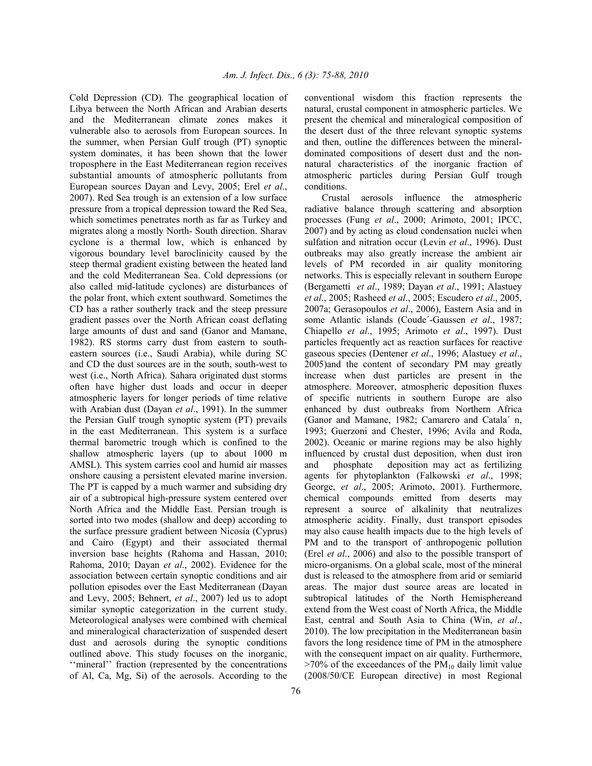Cold Depression (CD). The geographical location of Libya between the North African and Arabian deserts and the Mediterranean climate zones makes it vulnerable also to aerosols from European sources. In the summer, when Persian Gulf trough (PT) synoptic system dominates, it has been shown that the lower troposphere in the East Mediterranean region receives substantial amounts of atmospheric pollutants from European sources Dayan and Levy, 2005; Erel *et al*., 2007). Red Sea trough is an extension of a low surface pressure from a tropical depression toward the Red Sea, which sometimes penetrates north as far as Turkey and migrates along a mostly North- South direction. Sharav cyclone is a thermal low, which is enhanced by vigorous boundary level baroclinicity caused by the steep thermal gradient existing between the heated land and the cold Mediterranean Sea. Cold depressions (or also called mid-latitude cyclones) are disturbances of the polar front, which extent southward. Sometimes the CD has a rather southerly track and the steep pressure gradient passes over the North African coast deflating large amounts of dust and sand (Ganor and Mamane, 1982). RS storms carry dust from eastern to southeastern sources (i.e., Saudi Arabia), while during SC and CD the dust sources are in the south, south-west to west (i.e., North Africa). Sahara originated dust storms often have higher dust loads and occur in deeper atmospheric layers for longer periods of time relative with Arabian dust (Dayan *et al*., 1991). In the summer the Persian Gulf trough synoptic system (PT) prevails in the east Mediterranean. This system is a surface thermal barometric trough which is confined to the shallow atmospheric layers (up to about 1000 m AMSL). This system carries cool and humid air masses onshore causing a persistent elevated marine inversion. The PT is capped by a much warmer and subsiding dry air of a subtropical high-pressure system centered over North Africa and the Middle East. Persian trough is sorted into two modes (shallow and deep) according to the surface pressure gradient between Nicosia (Cyprus) and Cairo (Egypt) and their associated thermal inversion base heights (Rahoma and Hassan, 2010; Rahoma, 2010; Dayan *et al*., 2002). Evidence for the association between certain synoptic conditions and air pollution episodes over the East Mediterranean (Dayan and Levy, 2005; Behnert, *et al*., 2007) led us to adopt similar synoptic categorization in the current study. Meteorological analyses were combined with chemical and mineralogical characterization of suspended desert dust and aerosols during the synoptic conditions outlined above. This study focuses on the inorganic, ''mineral'' fraction (represented by the concentrations of Al, Ca, Mg, Si) of the aerosols. According to the

conventional wisdom this fraction represents the natural, crustal component in atmospheric particles. We present the chemical and mineralogical composition of the desert dust of the three relevant synoptic systems and then, outline the differences between the mineraldominated compositions of desert dust and the nonnatural characteristics of the inorganic fraction of atmospheric particles during Persian Gulf trough conditions.

 Crustal aerosols influence the atmospheric radiative balance through scattering and absorption processes (Fung *et al*., 2000; Arimoto, 2001; IPCC, 2007) and by acting as cloud condensation nuclei when sulfation and nitration occur (Levin *et al*., 1996). Dust outbreaks may also greatly increase the ambient air levels of PM recorded in air quality monitoring networks. This is especially relevant in southern Europe (Bergametti *et al*., 1989; Dayan *et al*., 1991; Alastuey *et al*., 2005; Rasheed *et al*., 2005; Escudero *et al*., 2005, 2007a; Gerasopoulos *et al*., 2006), Eastern Asia and in some Atlantic islands (Coude´-Gaussen *et al*., 1987; Chiapello *et al*., 1995; Arimoto *et al*., 1997). Dust particles frequently act as reaction surfaces for reactive gaseous species (Dentener *et al*., 1996; Alastuey *et al*., 2005)and the content of secondary PM may greatly increase when dust particles are present in the atmosphere. Moreover, atmospheric deposition fluxes of specific nutrients in southern Europe are also enhanced by dust outbreaks from Northern Africa (Ganor and Mamane, 1982; Camarero and Catala´ n, 1993; Guerzoni and Chester, 1996; Avila and Roda, 2002). Oceanic or marine regions may be also highly influenced by crustal dust deposition, when dust iron and phosphate deposition may act as fertilizing agents for phytoplankton (Falkowski *et al*., 1998; George, *et al*., 2005; Arimoto, 2001). Furthermore, chemical compounds emitted from deserts may represent a source of alkalinity that neutralizes atmospheric acidity. Finally, dust transport episodes may also cause health impacts due to the high levels of PM and to the transport of anthropogenic pollution (Erel *et al*., 2006) and also to the possible transport of micro-organisms. On a global scale, most of the mineral dust is released to the atmosphere from arid or semiarid areas. The major dust source areas are located in subtropical latitudes of the North Hemisphereand extend from the West coast of North Africa, the Middle East, central and South Asia to China (Win, *et al*., 2010). The low precipitation in the Mediterranean basin favors the long residence time of PM in the atmosphere with the consequent impact on air quality. Furthermore,  $>70\%$  of the exceedances of the PM<sub>10</sub> daily limit value (2008/50/CE European directive) in most Regional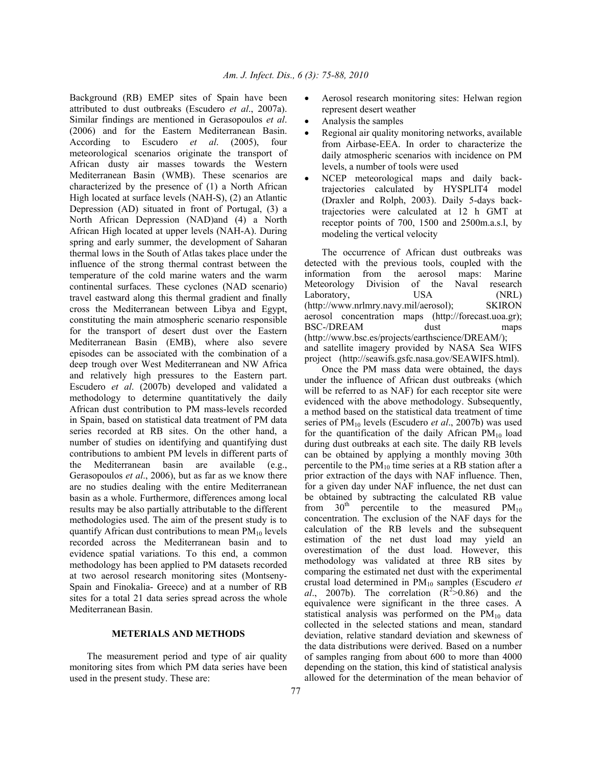Background (RB) EMEP sites of Spain have been attributed to dust outbreaks (Escudero *et al*., 2007a). Similar findings are mentioned in Gerasopoulos *et al*. (2006) and for the Eastern Mediterranean Basin. According to Escudero *et al*. (2005), four meteorological scenarios originate the transport of African dusty air masses towards the Western Mediterranean Basin (WMB). These scenarios are characterized by the presence of (1) a North African High located at surface levels (NAH-S), (2) an Atlantic Depression (AD) situated in front of Portugal, (3) a North African Depression (NAD)and (4) a North African High located at upper levels (NAH-A). During spring and early summer, the development of Saharan thermal lows in the South of Atlas takes place under the influence of the strong thermal contrast between the temperature of the cold marine waters and the warm continental surfaces. These cyclones (NAD scenario) travel eastward along this thermal gradient and finally cross the Mediterranean between Libya and Egypt, constituting the main atmospheric scenario responsible for the transport of desert dust over the Eastern Mediterranean Basin (EMB), where also severe episodes can be associated with the combination of a deep trough over West Mediterranean and NW Africa and relatively high pressures to the Eastern part. Escudero *et al*. (2007b) developed and validated a methodology to determine quantitatively the daily African dust contribution to PM mass-levels recorded in Spain, based on statistical data treatment of PM data series recorded at RB sites. On the other hand, a number of studies on identifying and quantifying dust contributions to ambient PM levels in different parts of the Mediterranean basin are available (e.g., Gerasopoulos *et al*., 2006), but as far as we know there are no studies dealing with the entire Mediterranean basin as a whole. Furthermore, differences among local results may be also partially attributable to the different methodologies used. The aim of the present study is to quantify African dust contributions to mean  $PM_{10}$  levels recorded across the Mediterranean basin and to evidence spatial variations. To this end, a common methodology has been applied to PM datasets recorded at two aerosol research monitoring sites (Montseny-Spain and Finokalia- Greece) and at a number of RB sites for a total 21 data series spread across the whole Mediterranean Basin.

## **METERIALS AND METHODS**

 The measurement period and type of air quality monitoring sites from which PM data series have been used in the present study. These are:

- Aerosol research monitoring sites: Helwan region represent desert weather
- Analysis the samples
- Regional air quality monitoring networks, available from Airbase-EEA. In order to characterize the daily atmospheric scenarios with incidence on PM levels, a number of tools were used
- NCEP meteorological maps and daily backtrajectories calculated by HYSPLIT4 model (Draxler and Rolph, 2003). Daily 5-days backtrajectories were calculated at 12 h GMT at receptor points of 700, 1500 and 2500m.a.s.l, by modeling the vertical velocity

 The occurrence of African dust outbreaks was detected with the previous tools, coupled with the information from the aerosol maps: Marine Meteorology Division of the Naval research Laboratory, USA (NRL) (http://www.nrlmry.navy.mil/aerosol); SKIRON aerosol concentration maps (http://forecast.uoa.gr); BSC-/DREAM dust maps (http://www.bsc.es/projects/earthscience/DREAM/); and satellite imagery provided by NASA Sea WIFS project (http://seawifs.gsfc.nasa.gov/SEAWIFS.html).

 Once the PM mass data were obtained, the days under the influence of African dust outbreaks (which will be referred to as NAF) for each receptor site were evidenced with the above methodology. Subsequently, a method based on the statistical data treatment of time series of PM10 levels (Escudero *et al*., 2007b) was used for the quantification of the daily African  $PM_{10}$  load during dust outbreaks at each site. The daily RB levels can be obtained by applying a monthly moving 30th percentile to the  $PM_{10}$  time series at a RB station after a prior extraction of the days with NAF influence. Then, for a given day under NAF influence, the net dust can be obtained by subtracting the calculated RB value from  $30<sup>th</sup>$  percentile to the measured PM<sub>10</sub> concentration. The exclusion of the NAF days for the calculation of the RB levels and the subsequent estimation of the net dust load may yield an overestimation of the dust load. However, this methodology was validated at three RB sites by comparing the estimated net dust with the experimental crustal load determined in PM10 samples (Escudero *et*  al., 2007b). The correlation  $(R^2 > 0.86)$  and the equivalence were significant in the three cases. A statistical analysis was performed on the  $PM_{10}$  data collected in the selected stations and mean, standard deviation, relative standard deviation and skewness of the data distributions were derived. Based on a number of samples ranging from about 600 to more than 4000 depending on the station, this kind of statistical analysis allowed for the determination of the mean behavior of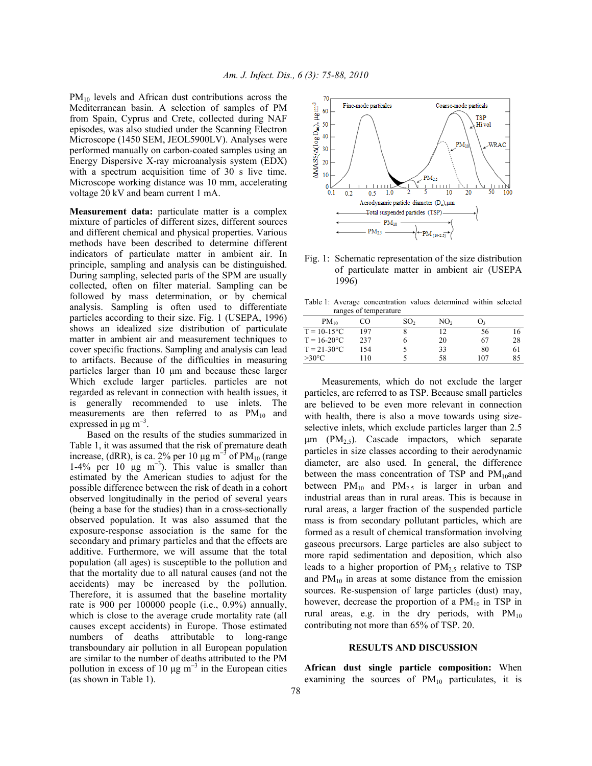$PM_{10}$  levels and African dust contributions across the Mediterranean basin. A selection of samples of PM from Spain, Cyprus and Crete, collected during NAF episodes, was also studied under the Scanning Electron Microscope (1450 SEM, JEOL5900LV). Analyses were performed manually on carbon-coated samples using an Energy Dispersive X-ray microanalysis system (EDX) with a spectrum acquisition time of 30 s live time. Microscope working distance was 10 mm, accelerating voltage 20 kV and beam current 1 mA.

**Measurement data:** particulate matter is a complex mixture of particles of different sizes, different sources and different chemical and physical properties. Various methods have been described to determine different indicators of particulate matter in ambient air. In principle, sampling and analysis can be distinguished. During sampling, selected parts of the SPM are usually collected, often on filter material. Sampling can be followed by mass determination, or by chemical analysis. Sampling is often used to differentiate particles according to their size. Fig. 1 (USEPA, 1996) shows an idealized size distribution of particulate matter in ambient air and measurement techniques to cover specific fractions. Sampling and analysis can lead to artifacts. Because of the difficulties in measuring particles larger than 10 µm and because these larger Which exclude larger particles. particles are not regarded as relevant in connection with health issues, it is generally recommended to use inlets. The measurements are then referred to as  $PM_{10}$  and expressed in  $\mu$ g m<sup>-3</sup>.

 Based on the results of the studies summarized in Table 1, it was assumed that the risk of premature death increase, (dRR), is ca. 2% per 10  $\mu$ g m<sup>-3</sup> of PM<sub>10</sub> (range 1-4% per 10  $\mu$ g m<sup>-3</sup>). This value is smaller than estimated by the American studies to adjust for the possible difference between the risk of death in a cohort observed longitudinally in the period of several years (being a base for the studies) than in a cross-sectionally observed population. It was also assumed that the exposure-response association is the same for the secondary and primary particles and that the effects are additive. Furthermore, we will assume that the total population (all ages) is susceptible to the pollution and that the mortality due to all natural causes (and not the accidents) may be increased by the pollution. Therefore, it is assumed that the baseline mortality rate is 900 per 100000 people (i.e., 0.9%) annually, which is close to the average crude mortality rate (all causes except accidents) in Europe. Those estimated numbers of deaths attributable to long-range transboundary air pollution in all European population are similar to the number of deaths attributed to the PM pollution in excess of 10  $\mu$ g m<sup>-3</sup> in the European cities (as shown in Table 1).



Fig. 1: Schematic representation of the size distribution of particulate matter in ambient air (USEPA 1996)

Table 1: Average concentration values determined within selected ranges of temperature

| $PM_{10}$        | CO  | SO <sub>2</sub> | NO <sub>2</sub> |     |    |
|------------------|-----|-----------------|-----------------|-----|----|
| $T = 10-15$ °C   | 197 |                 | 12              | 56  | 16 |
| $T = 16-20$ °C   | 237 |                 | 20              | 67  | 28 |
| $T = 21 - 30$ °C | 154 |                 | 33              | 80  | 61 |
| $>30^{\circ}$ C  | 10  |                 | 58              | 107 | 85 |

 Measurements, which do not exclude the larger particles, are referred to as TSP. Because small particles are believed to be even more relevant in connection with health, there is also a move towards using sizeselective inlets, which exclude particles larger than 2.5  $\mu$ m (PM<sub>2.5</sub>). Cascade impactors, which separate particles in size classes according to their aerodynamic diameter, are also used. In general, the difference between the mass concentration of TSP and  $PM_{10}$ and between  $PM_{10}$  and  $PM_{2.5}$  is larger in urban and industrial areas than in rural areas. This is because in rural areas, a larger fraction of the suspended particle mass is from secondary pollutant particles, which are formed as a result of chemical transformation involving gaseous precursors. Large particles are also subject to more rapid sedimentation and deposition, which also leads to a higher proportion of  $PM_{2.5}$  relative to TSP and  $PM_{10}$  in areas at some distance from the emission sources. Re-suspension of large particles (dust) may, however, decrease the proportion of a  $PM_{10}$  in TSP in rural areas, e.g. in the dry periods, with  $PM_{10}$ contributing not more than 65% of TSP. 20.

### **RESULTS AND DISCUSSION**

**African dust single particle composition:** When examining the sources of  $PM_{10}$  particulates, it is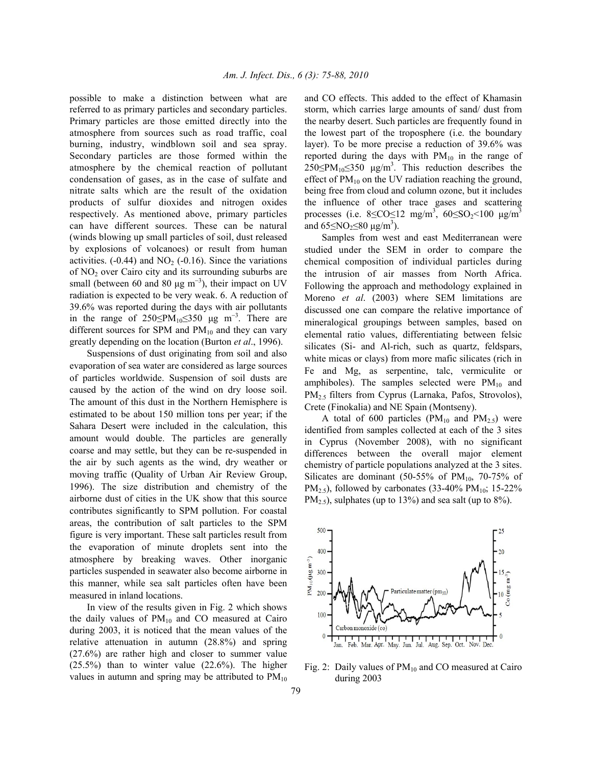possible to make a distinction between what are referred to as primary particles and secondary particles. Primary particles are those emitted directly into the atmosphere from sources such as road traffic, coal burning, industry, windblown soil and sea spray. Secondary particles are those formed within the atmosphere by the chemical reaction of pollutant condensation of gases, as in the case of sulfate and nitrate salts which are the result of the oxidation products of sulfur dioxides and nitrogen oxides respectively. As mentioned above, primary particles can have different sources. These can be natural (winds blowing up small particles of soil, dust released by explosions of volcanoes) or result from human activities.  $(-0.44)$  and NO<sub>2</sub>  $(-0.16)$ . Since the variations of NO2 over Cairo city and its surrounding suburbs are small (between 60 and 80  $\mu$ g m<sup>-3</sup>), their impact on UV radiation is expected to be very weak. 6. A reduction of 39.6% was reported during the days with air pollutants in the range of 250≤PM<sub>10</sub>≤350 µg m<sup>-3</sup>. There are different sources for SPM and  $PM_{10}$  and they can vary greatly depending on the location (Burton *et al*., 1996).

 Suspensions of dust originating from soil and also evaporation of sea water are considered as large sources of particles worldwide. Suspension of soil dusts are caused by the action of the wind on dry loose soil. The amount of this dust in the Northern Hemisphere is estimated to be about 150 million tons per year; if the Sahara Desert were included in the calculation, this amount would double. The particles are generally coarse and may settle, but they can be re-suspended in the air by such agents as the wind, dry weather or moving traffic (Quality of Urban Air Review Group, 1996). The size distribution and chemistry of the airborne dust of cities in the UK show that this source contributes significantly to SPM pollution. For coastal areas, the contribution of salt particles to the SPM figure is very important. These salt particles result from the evaporation of minute droplets sent into the atmosphere by breaking waves. Other inorganic particles suspended in seawater also become airborne in this manner, while sea salt particles often have been measured in inland locations.

 In view of the results given in Fig. 2 which shows the daily values of  $PM_{10}$  and CO measured at Cairo during 2003, it is noticed that the mean values of the relative attenuation in autumn (28.8%) and spring (27.6%) are rather high and closer to summer value (25.5%) than to winter value (22.6%). The higher values in autumn and spring may be attributed to  $PM_{10}$  and CO effects. This added to the effect of Khamasin storm, which carries large amounts of sand/ dust from the nearby desert. Such particles are frequently found in the lowest part of the troposphere (i.e. the boundary layer). To be more precise a reduction of 39.6% was reported during the days with  $PM_{10}$  in the range of  $250 \le PM_{10} \le 350$  µg/m<sup>3</sup>. This reduction describes the effect of  $PM_{10}$  on the UV radiation reaching the ground, being free from cloud and column ozone, but it includes the influence of other trace gases and scattering processes (i.e.  $8 \leq CO \leq 12$  mg/m<sup>3</sup>,  $60 \leq SO_2 \leq 100$  µg/m<sup>3</sup> and  $65 \leq NO_2 \leq 80 \text{ }\mu\text{g/m}^3$ ).

 Samples from west and east Mediterranean were studied under the SEM in order to compare the chemical composition of individual particles during the intrusion of air masses from North Africa. Following the approach and methodology explained in Moreno *et al*. (2003) where SEM limitations are discussed one can compare the relative importance of mineralogical groupings between samples, based on elemental ratio values, differentiating between felsic silicates (Si- and Al-rich, such as quartz, feldspars, white micas or clays) from more mafic silicates (rich in Fe and Mg, as serpentine, talc, vermiculite or amphiboles). The samples selected were  $PM_{10}$  and PM2.5 filters from Cyprus (Larnaka, Pafos, Strovolos), Crete (Finokalia) and NE Spain (Montseny).

A total of 600 particles ( $PM_{10}$  and  $PM_{2.5}$ ) were identified from samples collected at each of the 3 sites in Cyprus (November 2008), with no significant differences between the overall major element chemistry of particle populations analyzed at the 3 sites. Silicates are dominant (50-55% of  $PM_{10}$ , 70-75% of PM<sub>2.5</sub>), followed by carbonates (33-40% PM<sub>10</sub>; 15-22%  $PM_{2.5}$ , sulphates (up to 13%) and sea salt (up to 8%).



Fig. 2: Daily values of  $PM_{10}$  and CO measured at Cairo during 2003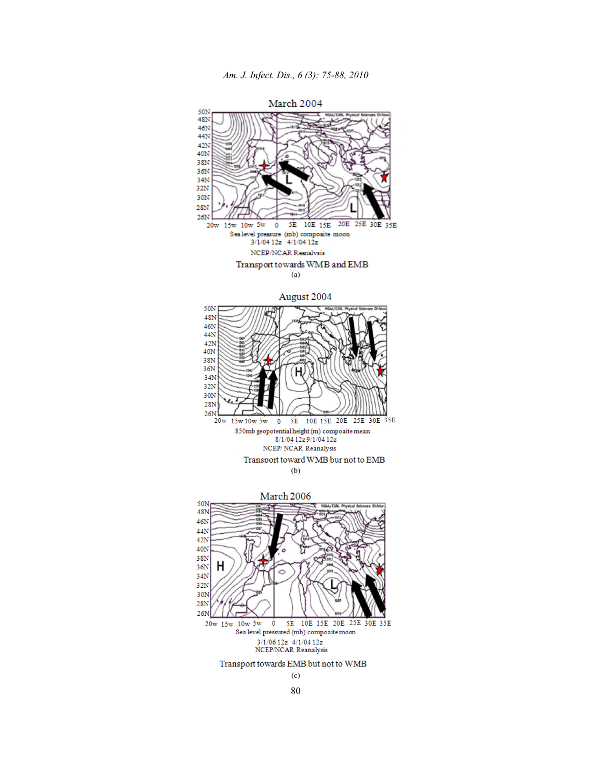

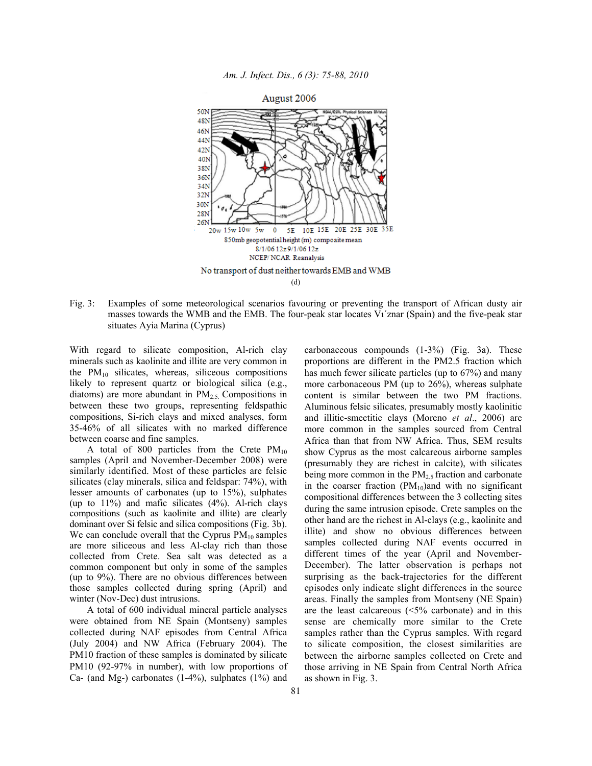

*Am. J. Infect. Dis., 6 (3): 75-88, 2010* 

Fig. 3: Examples of some meteorological scenarios favouring or preventing the transport of African dusty air masses towards the WMB and the EMB. The four-peak star locates Vı´znar (Spain) and the five-peak star situates Ayia Marina (Cyprus)

With regard to silicate composition, Al-rich clay minerals such as kaolinite and illite are very common in the  $PM_{10}$  silicates, whereas, siliceous compositions likely to represent quartz or biological silica (e.g., diatoms) are more abundant in  $PM<sub>2.5</sub>$ . Compositions in between these two groups, representing feldspathic compositions, Si-rich clays and mixed analyses, form 35-46% of all silicates with no marked difference between coarse and fine samples.

A total of 800 particles from the Crete  $PM_{10}$ samples (April and November-December 2008) were similarly identified. Most of these particles are felsic silicates (clay minerals, silica and feldspar: 74%), with lesser amounts of carbonates (up to 15%), sulphates (up to  $11\%$ ) and mafic silicates  $(4\%)$ . Al-rich clavs compositions (such as kaolinite and illite) are clearly dominant over Si felsic and silica compositions (Fig. 3b). We can conclude overall that the Cyprus  $PM_{10}$  samples are more siliceous and less Al-clay rich than those collected from Crete. Sea salt was detected as a common component but only in some of the samples (up to 9%). There are no obvious differences between those samples collected during spring (April) and winter (Nov-Dec) dust intrusions.

 A total of 600 individual mineral particle analyses were obtained from NE Spain (Montseny) samples collected during NAF episodes from Central Africa (July 2004) and NW Africa (February 2004). The PM10 fraction of these samples is dominated by silicate PM10 (92-97% in number), with low proportions of Ca- (and Mg-) carbonates (1-4%), sulphates (1%) and carbonaceous compounds (1-3%) (Fig. 3a). These proportions are different in the PM2.5 fraction which has much fewer silicate particles (up to 67%) and many more carbonaceous PM (up to 26%), whereas sulphate content is similar between the two PM fractions. Aluminous felsic silicates, presumably mostly kaolinitic and illitic-smectitic clays (Moreno *et al*., 2006) are more common in the samples sourced from Central Africa than that from NW Africa. Thus, SEM results show Cyprus as the most calcareous airborne samples (presumably they are richest in calcite), with silicates being more common in the  $PM<sub>2.5</sub>$  fraction and carbonate in the coarser fraction  $(PM_{10})$  and with no significant compositional differences between the 3 collecting sites during the same intrusion episode. Crete samples on the other hand are the richest in Al-clays (e.g., kaolinite and illite) and show no obvious differences between samples collected during NAF events occurred in different times of the year (April and November-December). The latter observation is perhaps not surprising as the back-trajectories for the different episodes only indicate slight differences in the source areas. Finally the samples from Montseny (NE Spain) are the least calcareous (<5% carbonate) and in this sense are chemically more similar to the Crete samples rather than the Cyprus samples. With regard to silicate composition, the closest similarities are between the airborne samples collected on Crete and those arriving in NE Spain from Central North Africa as shown in Fig. 3.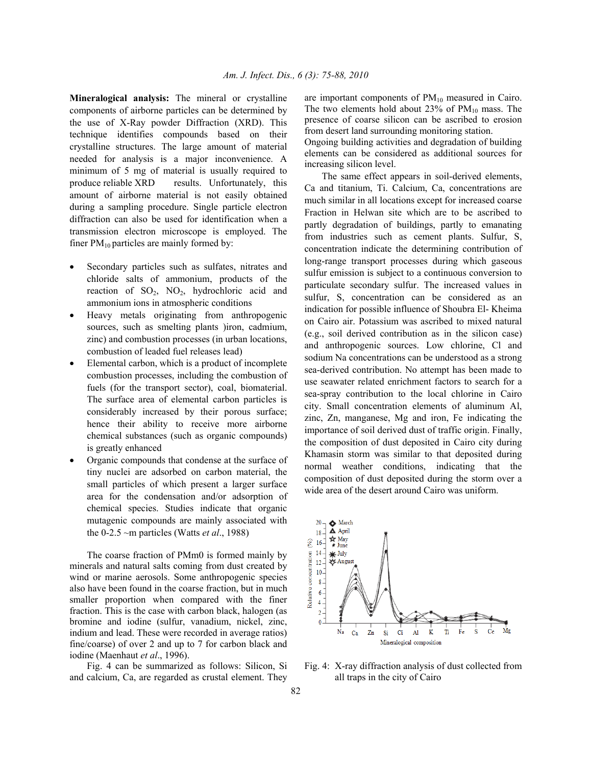**Mineralogical analysis:** The mineral or crystalline components of airborne particles can be determined by the use of X-Ray powder Diffraction (XRD). This technique identifies compounds based on their crystalline structures. The large amount of material needed for analysis is a major inconvenience. A minimum of 5 mg of material is usually required to produce reliable XRD results. Unfortunately, this amount of airborne material is not easily obtained during a sampling procedure. Single particle electron diffraction can also be used for identification when a transmission electron microscope is employed. The finer  $PM_{10}$  particles are mainly formed by:

- Secondary particles such as sulfates, nitrates and chloride salts of ammonium, products of the reaction of  $SO_2$ ,  $NO_2$ , hydrochloric acid and ammonium ions in atmospheric conditions
- Heavy metals originating from anthropogenic sources, such as smelting plants )iron, cadmium, zinc) and combustion processes (in urban locations, combustion of leaded fuel releases lead)
- Elemental carbon, which is a product of incomplete combustion processes, including the combustion of fuels (for the transport sector), coal, biomaterial. The surface area of elemental carbon particles is considerably increased by their porous surface; hence their ability to receive more airborne chemical substances (such as organic compounds) is greatly enhanced
- Organic compounds that condense at the surface of tiny nuclei are adsorbed on carbon material, the small particles of which present a larger surface area for the condensation and/or adsorption of chemical species. Studies indicate that organic mutagenic compounds are mainly associated with the 0-2.5 ~m particles (Watts *et al*., 1988)

 The coarse fraction of PMm0 is formed mainly by minerals and natural salts coming from dust created by wind or marine aerosols. Some anthropogenic species also have been found in the coarse fraction, but in much smaller proportion when compared with the finer fraction. This is the case with carbon black, halogen (as bromine and iodine (sulfur, vanadium, nickel, zinc, indium and lead. These were recorded in average ratios) fine/coarse) of over 2 and up to 7 for carbon black and iodine (Maenhaut *et al*., 1996).

 Fig. 4 can be summarized as follows: Silicon, Si and calcium, Ca, are regarded as crustal element. They are important components of  $PM_{10}$  measured in Cairo. The two elements hold about 23% of  $PM_{10}$  mass. The presence of coarse silicon can be ascribed to erosion from desert land surrounding monitoring station.

Ongoing building activities and degradation of building elements can be considered as additional sources for increasing silicon level.

 The same effect appears in soil-derived elements, Ca and titanium, Ti. Calcium, Ca, concentrations are much similar in all locations except for increased coarse Fraction in Helwan site which are to be ascribed to partly degradation of buildings, partly to emanating from industries such as cement plants. Sulfur, S, concentration indicate the determining contribution of long-range transport processes during which gaseous sulfur emission is subject to a continuous conversion to particulate secondary sulfur. The increased values in sulfur, S, concentration can be considered as an indication for possible influence of Shoubra El- Kheima on Cairo air. Potassium was ascribed to mixed natural (e.g., soil derived contribution as in the silicon case) and anthropogenic sources. Low chlorine, Cl and sodium Na concentrations can be understood as a strong sea-derived contribution. No attempt has been made to use seawater related enrichment factors to search for a sea-spray contribution to the local chlorine in Cairo city. Small concentration elements of aluminum Al, zinc, Zn, manganese, Mg and iron, Fe indicating the importance of soil derived dust of traffic origin. Finally, the composition of dust deposited in Cairo city during Khamasin storm was similar to that deposited during normal weather conditions, indicating that the composition of dust deposited during the storm over a wide area of the desert around Cairo was uniform.



Fig. 4: X-ray diffraction analysis of dust collected from all traps in the city of Cairo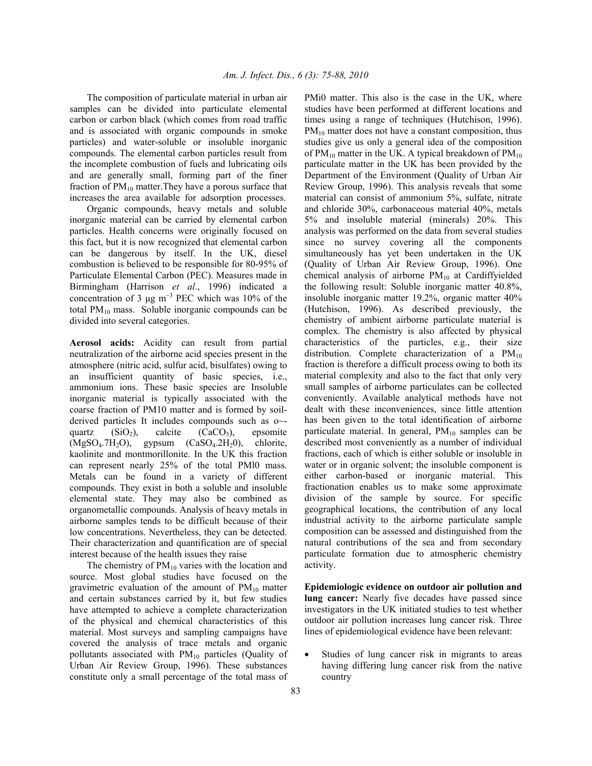The composition of particulate material in urban air samples can be divided into particulate elemental carbon or carbon black (which comes from road traffic and is associated with organic compounds in smoke particles) and water-soluble or insoluble inorganic compounds. The elemental carbon particles result from the incomplete combustion of fuels and lubricating oils and are generally small, forming part of the finer fraction of  $PM_{10}$  matter. They have a porous surface that increases the area available for adsorption processes.

 Organic compounds, heavy metals and soluble inorganic material can be carried by elemental carbon particles. Health concerns were originally focused on this fact, but it is now recognized that elemental carbon can be dangerous by itself. In the UK, diesel combustion is believed to be responsible for 80-95% of Particulate Elemental Carbon (PEC). Measures made in Birmingham (Harrison *et al*., 1996) indicated a concentration of 3  $\mu$ g m<sup>-3</sup> PEC which was 10% of the total  $PM_{10}$  mass. Soluble inorganic compounds can be divided into several categories.

**Aerosol acids:** Acidity can result from partial neutralization of the airborne acid species present in the atmosphere (nitric acid, sulfur acid, bisulfates) owing to an insufficient quantity of basic species, i.e., ammonium ions. These basic species are Insoluble inorganic material is typically associated with the coarse fraction of PM10 matter and is formed by soilderived particles It includes compounds such as o~ quartz  $(SiO<sub>2</sub>)$ , calcite  $(CaCO<sub>3</sub>)$ , epsomite  $(MgSO<sub>4</sub>.7H<sub>2</sub>O)$ , gypsum  $(CaSO<sub>4</sub>.2H<sub>2</sub>O)$ , chlorite, kaolinite and montmorillonite. In the UK this fraction can represent nearly 25% of the total PMl0 mass. Metals can be found in a variety of different compounds. They exist in both a soluble and insoluble elemental state. They may also be combined as organometallic compounds. Analysis of heavy metals in airborne samples tends to be difficult because of their low concentrations. Nevertheless, they can be detected. Their characterization and quantification are of special interest because of the health issues they raise

The chemistry of  $PM_{10}$  varies with the location and source. Most global studies have focused on the gravimetric evaluation of the amount of  $PM_{10}$  matter and certain substances carried by it, but few studies have attempted to achieve a complete characterization of the physical and chemical characteristics of this material. Most surveys and sampling campaigns have covered the analysis of trace metals and organic pollutants associated with  $PM_{10}$  particles (Quality of Urban Air Review Group, 1996). These substances constitute only a small percentage of the total mass of PMi0 matter. This also is the case in the UK, where studies have been performed at different locations and times using a range of techniques (Hutchison, 1996).  $PM_{10}$  matter does not have a constant composition, thus studies give us only a general idea of the composition of  $PM_{10}$  matter in the UK. A typical breakdown of  $PM_{10}$ particulate matter in the UK has been provided by the Department of the Environment (Quality of Urban Air Review Group, 1996). This analysis reveals that some material can consist of ammonium 5%, sulfate, nitrate and chloride 30%, carbonaceous material 40%, metals 5% and insoluble material (minerals) 20%. This analysis was performed on the data from several studies since no survey covering all the components simultaneously has yet been undertaken in the UK (Quality of Urban Air Review Group, 1996). One chemical analysis of airborne  $PM_{10}$  at Cardiffyielded the following result: Soluble inorganic matter 40.8%, insoluble inorganic matter 19.2%, organic matter 40% (Hutchison, 1996). As described previously, the chemistry of ambient airborne particulate material is complex. The chemistry is also affected by physical characteristics of the particles, e.g., their size distribution. Complete characterization of a  $PM_{10}$ fraction is therefore a difficult process owing to both its material complexity and also to the fact that only very small samples of airborne particulates can be collected conveniently. Available analytical methods have not dealt with these inconveniences, since little attention has been given to the total identification of airborne particulate material. In general,  $PM_{10}$  samples can be described most conveniently as a number of individual fractions, each of which is either soluble or insoluble in water or in organic solvent; the insoluble component is either carbon-based or inorganic material. This fractionation enables us to make some approximate division of the sample by source. For specific geographical locations, the contribution of any local industrial activity to the airborne particulate sample composition can be assessed and distinguished from the natural contributions of the sea and from secondary particulate formation due to atmospheric chemistry activity.

**Epidemiologic evidence on outdoor air pollution and lung cancer:** Nearly five decades have passed since investigators in the UK initiated studies to test whether outdoor air pollution increases lung cancer risk. Three lines of epidemiological evidence have been relevant:

• Studies of lung cancer risk in migrants to areas having differing lung cancer risk from the native country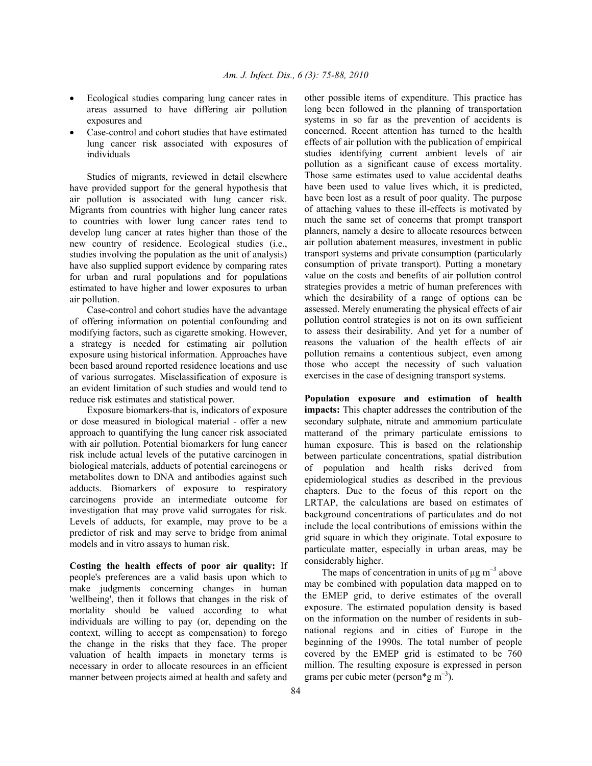- Ecological studies comparing lung cancer rates in areas assumed to have differing air pollution exposures and
- Case-control and cohort studies that have estimated lung cancer risk associated with exposures of individuals

 Studies of migrants, reviewed in detail elsewhere have provided support for the general hypothesis that air pollution is associated with lung cancer risk. Migrants from countries with higher lung cancer rates to countries with lower lung cancer rates tend to develop lung cancer at rates higher than those of the new country of residence. Ecological studies (i.e., studies involving the population as the unit of analysis) have also supplied support evidence by comparing rates for urban and rural populations and for populations estimated to have higher and lower exposures to urban air pollution.

 Case-control and cohort studies have the advantage of offering information on potential confounding and modifying factors, such as cigarette smoking. However, a strategy is needed for estimating air pollution exposure using historical information. Approaches have been based around reported residence locations and use of various surrogates. Misclassification of exposure is an evident limitation of such studies and would tend to reduce risk estimates and statistical power.

 Exposure biomarkers-that is, indicators of exposure or dose measured in biological material - offer a new approach to quantifying the lung cancer risk associated with air pollution. Potential biomarkers for lung cancer risk include actual levels of the putative carcinogen in biological materials, adducts of potential carcinogens or metabolites down to DNA and antibodies against such adducts. Biomarkers of exposure to respiratory carcinogens provide an intermediate outcome for investigation that may prove valid surrogates for risk. Levels of adducts, for example, may prove to be a predictor of risk and may serve to bridge from animal models and in vitro assays to human risk.

**Costing the health effects of poor air quality:** If people's preferences are a valid basis upon which to make judgments concerning changes in human 'wellbeing', then it follows that changes in the risk of mortality should be valued according to what individuals are willing to pay (or, depending on the context, willing to accept as compensation) to forego the change in the risks that they face. The proper valuation of health impacts in monetary terms is necessary in order to allocate resources in an efficient manner between projects aimed at health and safety and

other possible items of expenditure. This practice has long been followed in the planning of transportation systems in so far as the prevention of accidents is concerned. Recent attention has turned to the health effects of air pollution with the publication of empirical studies identifying current ambient levels of air pollution as a significant cause of excess mortality. Those same estimates used to value accidental deaths have been used to value lives which, it is predicted, have been lost as a result of poor quality. The purpose of attaching values to these ill-effects is motivated by much the same set of concerns that prompt transport planners, namely a desire to allocate resources between air pollution abatement measures, investment in public transport systems and private consumption (particularly consumption of private transport). Putting a monetary value on the costs and benefits of air pollution control strategies provides a metric of human preferences with which the desirability of a range of options can be assessed. Merely enumerating the physical effects of air pollution control strategies is not on its own sufficient to assess their desirability. And yet for a number of reasons the valuation of the health effects of air pollution remains a contentious subject, even among those who accept the necessity of such valuation exercises in the case of designing transport systems.

**Population exposure and estimation of health impacts:** This chapter addresses the contribution of the secondary sulphate, nitrate and ammonium particulate matterand of the primary particulate emissions to human exposure. This is based on the relationship between particulate concentrations, spatial distribution of population and health risks derived from epidemiological studies as described in the previous chapters. Due to the focus of this report on the LRTAP, the calculations are based on estimates of background concentrations of particulates and do not include the local contributions of emissions within the grid square in which they originate. Total exposure to particulate matter, especially in urban areas, may be considerably higher.

The maps of concentration in units of  $\mu$ g m<sup>-3</sup> above may be combined with population data mapped on to the EMEP grid, to derive estimates of the overall exposure. The estimated population density is based on the information on the number of residents in subnational regions and in cities of Europe in the beginning of the 1990s. The total number of people covered by the EMEP grid is estimated to be 760 million. The resulting exposure is expressed in person grams per cubic meter (person\*g m−3).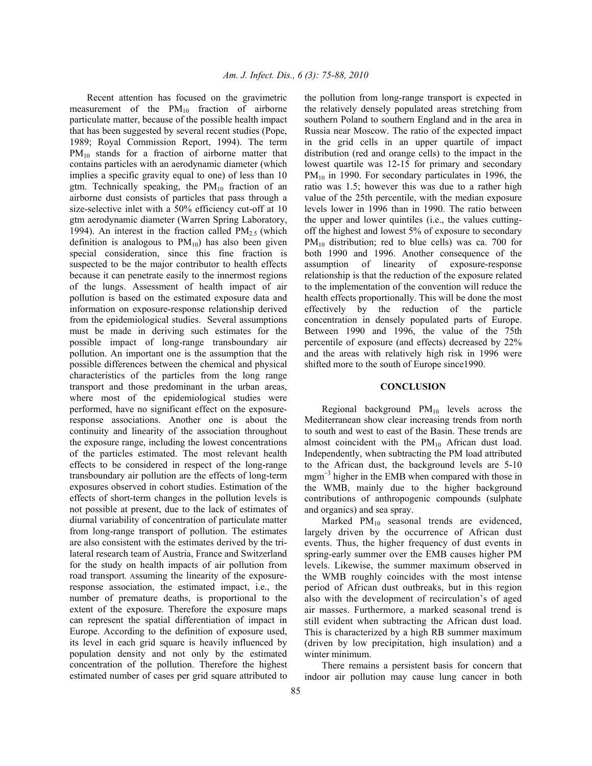Recent attention has focused on the gravimetric measurement of the  $PM_{10}$  fraction of airborne particulate matter, because of the possible health impact that has been suggested by several recent studies (Pope, 1989; Royal Commission Report, 1994). The term  $PM_{10}$  stands for a fraction of airborne matter that contains particles with an aerodynamic diameter (which implies a specific gravity equal to one) of less than 10 gtm. Technically speaking, the  $PM_{10}$  fraction of an airborne dust consists of particles that pass through a size-selective inlet with a 50% efficiency cut-off at 10 gtm aerodynamic diameter (Warren Spring Laboratory, 1994). An interest in the fraction called  $PM_{2.5}$  (which definition is analogous to  $PM_{10}$ ) has also been given special consideration, since this fine fraction is suspected to be the major contributor to health effects because it can penetrate easily to the innermost regions of the lungs. Assessment of health impact of air pollution is based on the estimated exposure data and information on exposure-response relationship derived from the epidemiological studies. Several assumptions must be made in deriving such estimates for the possible impact of long-range transboundary air pollution. An important one is the assumption that the possible differences between the chemical and physical characteristics of the particles from the long range transport and those predominant in the urban areas, where most of the epidemiological studies were performed, have no significant effect on the exposureresponse associations. Another one is about the continuity and linearity of the association throughout the exposure range, including the lowest concentrations of the particles estimated. The most relevant health effects to be considered in respect of the long-range transboundary air pollution are the effects of long-term exposures observed in cohort studies. Estimation of the effects of short-term changes in the pollution levels is not possible at present, due to the lack of estimates of diurnal variability of concentration of particulate matter from long-range transport of pollution. The estimates are also consistent with the estimates derived by the trilateral research team of Austria, France and Switzerland for the study on health impacts of air pollution from road transport. Assuming the linearity of the exposureresponse association, the estimated impact, i.e., the number of premature deaths, is proportional to the extent of the exposure. Therefore the exposure maps can represent the spatial differentiation of impact in Europe. According to the definition of exposure used, its level in each grid square is heavily influenced by population density and not only by the estimated concentration of the pollution. Therefore the highest estimated number of cases per grid square attributed to

the pollution from long-range transport is expected in the relatively densely populated areas stretching from southern Poland to southern England and in the area in Russia near Moscow. The ratio of the expected impact in the grid cells in an upper quartile of impact distribution (red and orange cells) to the impact in the lowest quartile was 12-15 for primary and secondary  $PM_{10}$  in 1990. For secondary particulates in 1996, the ratio was 1.5; however this was due to a rather high value of the 25th percentile, with the median exposure levels lower in 1996 than in 1990. The ratio between the upper and lower quintiles (i.e., the values cuttingoff the highest and lowest 5% of exposure to secondary  $PM_{10}$  distribution; red to blue cells) was ca. 700 for both 1990 and 1996. Another consequence of the assumption of linearity of exposure-response relationship is that the reduction of the exposure related to the implementation of the convention will reduce the health effects proportionally. This will be done the most effectively by the reduction of the particle concentration in densely populated parts of Europe. Between 1990 and 1996, the value of the 75th percentile of exposure (and effects) decreased by 22% and the areas with relatively high risk in 1996 were shifted more to the south of Europe since1990.

#### **CONCLUSION**

Regional background  $PM_{10}$  levels across the Mediterranean show clear increasing trends from north to south and west to east of the Basin. These trends are almost coincident with the  $PM_{10}$  African dust load. Independently, when subtracting the PM load attributed to the African dust, the background levels are 5-10 mgm<sup>-3</sup> higher in the EMB when compared with those in the WMB, mainly due to the higher background contributions of anthropogenic compounds (sulphate and organics) and sea spray.

Marked PM<sub>10</sub> seasonal trends are evidenced, largely driven by the occurrence of African dust events. Thus, the higher frequency of dust events in spring-early summer over the EMB causes higher PM levels. Likewise, the summer maximum observed in the WMB roughly coincides with the most intense period of African dust outbreaks, but in this region also with the development of recirculation's of aged air masses. Furthermore, a marked seasonal trend is still evident when subtracting the African dust load. This is characterized by a high RB summer maximum (driven by low precipitation, high insulation) and a winter minimum.

 There remains a persistent basis for concern that indoor air pollution may cause lung cancer in both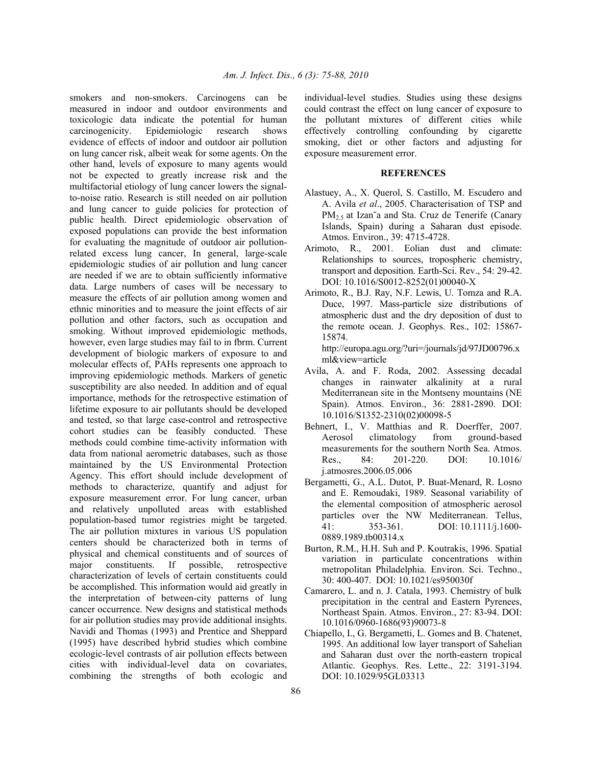smokers and non-smokers. Carcinogens can be measured in indoor and outdoor environments and toxicologic data indicate the potential for human carcinogenicity. Epidemiologic research shows evidence of effects of indoor and outdoor air pollution on lung cancer risk, albeit weak for some agents. On the other hand, levels of exposure to many agents would not be expected to greatly increase risk and the multifactorial etiology of lung cancer lowers the signalto-noise ratio. Research is still needed on air pollution and lung cancer to guide policies for protection of public health. Direct epidemiologic observation of exposed populations can provide the best information for evaluating the magnitude of outdoor air pollutionrelated excess lung cancer, In general, large-scale epidemiologic studies of air pollution and lung cancer are needed if we are to obtain sufficiently informative data. Large numbers of cases will be necessary to measure the effects of air pollution among women and ethnic minorities and to measure the joint effects of air pollution and other factors, such as occupation and smoking. Without improved epidemiologic methods, however, even large studies may fail to in fbrm. Current development of biologic markers of exposure to and molecular effects of, PAHs represents one approach to improving epidemiologic methods. Markers of genetic susceptibility are also needed. In addition and of equal importance, methods for the retrospective estimation of lifetime exposure to air pollutants should be developed and tested, so that large case-control and retrospective cohort studies can be feasibly conducted. These methods could combine time-activity information with data from national aerometric databases, such as those maintained by the US Environmental Protection Agency. This effort should include development of methods to characterize, quantify and adjust for exposure measurement error. For lung cancer, urban and relatively unpolluted areas with established population-based tumor registries might be targeted. The air pollution mixtures in various US population centers should be characterized both in terms of physical and chemical constituents and of sources of major constituents. If possible, retrospective characterization of levels of certain constituents could be accomplished. This information would aid greatly in the interpretation of between-city patterns of lung cancer occurrence. New designs and statistical methods for air pollution studies may provide additional insights. Navidi and Thomas (1993) and Prentice and Sheppard (1995) have described hybrid studies which combine ecologic-level contrasts of air pollution effects between cities with individual-level data on covariates, combining the strengths of both ecologic and

individual-level studies. Studies using these designs could contrast the effect on lung cancer of exposure to the pollutant mixtures of different cities while effectively controlling confounding by cigarette smoking, diet or other factors and adjusting for exposure measurement error.

#### **REFERENCES**

- Alastuey, A., X. Querol, S. Castillo, M. Escudero and A. Avila *et al*., 2005. Characterisation of TSP and  $PM<sub>2.5</sub>$  at Izan $\tilde{a}$  and Sta. Cruz de Tenerife (Canary Islands, Spain) during a Saharan dust episode. Atmos. Environ., 39: 4715-4728.
- Arimoto, R., 2001. Eolian dust and climate: Relationships to sources, tropospheric chemistry, transport and deposition. Earth-Sci. Rev., 54: 29-42. DOI: 10.1016/S0012-8252(01)00040-X
- Arimoto, R., B.J. Ray, N.F. Lewis, U. Tomza and R.A. Duce, 1997. Mass-particle size distributions of atmospheric dust and the dry deposition of dust to the remote ocean. J. Geophys. Res., 102: 15867- 15874. http://europa.agu.org/?uri=/journals/jd/97JD00796.x

ml&view=article

- Avila, A. and F. Roda, 2002. Assessing decadal changes in rainwater alkalinity at a rural Mediterranean site in the Montseny mountains (NE Spain). Atmos. Environ., 36: 2881-2890. DOI: 10.1016/S1352-2310(02)00098-5
- Behnert, I., V. Matthias and R. Doerffer, 2007. Aerosol climatology from ground-based measurements for the southern North Sea. Atmos. Res., 84: 201-220. DOI: 10.1016/ j.atmosres.2006.05.006
- Bergametti, G., A.L. Dutot, P. Buat-Menard, R. Losno and E. Remoudaki, 1989. Seasonal variability of the elemental composition of atmospheric aerosol particles over the NW Mediterranean. Tellus, 41: 353-361. DOI: 10.1111/j.1600- 0889.1989.tb00314.x
- Burton, R.M., H.H. Suh and P. Koutrakis, 1996. Spatial variation in particulate concentrations within metropolitan Philadelphia. Environ. Sci. Techno., 30: 400-407. DOI: 10.1021/es950030f
- Camarero, L. and n. J. Catala, 1993. Chemistry of bulk precipitation in the central and Eastern Pyrenees, Northeast Spain. Atmos. Environ., 27: 83-94. DOI: 10.1016/0960-1686(93)90073-8
- Chiapello, I., G. Bergametti, L. Gomes and B. Chatenet, 1995. An additional low layer transport of Sahelian and Saharan dust over the north-eastern tropical Atlantic. Geophys. Res. Lette., 22: 3191-3194. DOI: 10.1029/95GL03313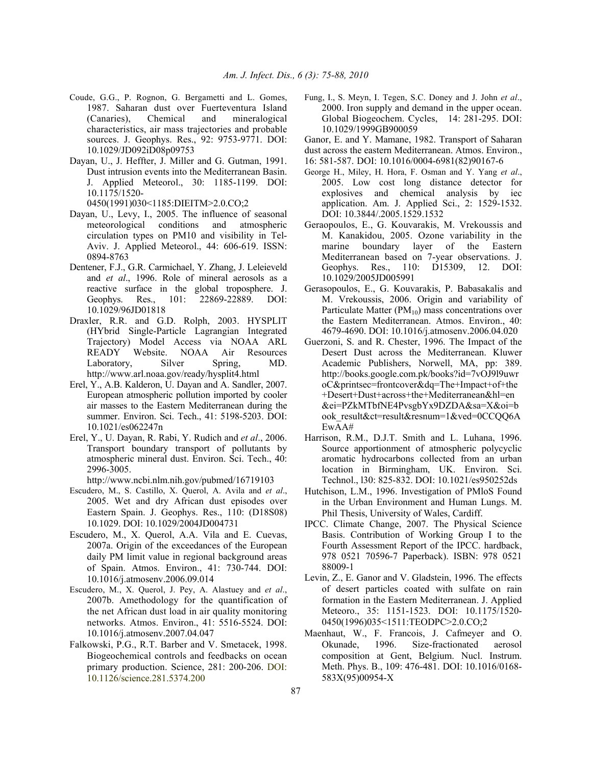- Coude, G.G., P. Rognon, G. Bergametti and L. Gomes, 1987. Saharan dust over Fuerteventura Island (Canaries), Chemical and mineralogical characteristics, air mass trajectories and probable sources. J. Geophys. Res., 92: 9753-9771. DOI: 10.1029/JD092iD08p09753
- Dayan, U., J. Heffter, J. Miller and G. Gutman, 1991. Dust intrusion events into the Mediterranean Basin. J. Applied Meteorol., 30: 1185-1199. DOI: 10.1175/1520-

0450(1991)030<1185:DIEITM>2.0.CO;2

- Dayan, U., Levy, I., 2005. The influence of seasonal meteorological conditions and atmospheric circulation types on PM10 and visibility in Tel-Aviv. J. Applied Meteorol., 44: 606-619. ISSN: 0894-8763
- Dentener, F.J., G.R. Carmichael, Y. Zhang, J. Leleieveld and *et al*., 1996. Role of mineral aerosols as a reactive surface in the global troposphere. J. Geophys. Res., 101: 22869-22889. DOI: 10.1029/96JD01818
- Draxler, R.R. and G.D. Rolph, 2003. HYSPLIT (HYbrid Single-Particle Lagrangian Integrated Trajectory) Model Access via NOAA ARL READY Website. NOAA Air Resources Laboratory, Silver Spring, MD. http://www.arl.noaa.gov/ready/hysplit4.html
- Erel, Y., A.B. Kalderon, U. Dayan and A. Sandler, 2007. European atmospheric pollution imported by cooler air masses to the Eastern Mediterranean during the summer. Environ. Sci. Tech., 41: 5198-5203. DOI: 10.1021/es062247n
- Erel, Y., U. Dayan, R. Rabi, Y. Rudich and *et al*., 2006. Transport boundary transport of pollutants by atmospheric mineral dust. Environ. Sci. Tech., 40: 2996-3005.

http://www.ncbi.nlm.nih.gov/pubmed/16719103

- Escudero, M., S. Castillo, X. Querol, A. Avila and *et al*., 2005. Wet and dry African dust episodes over Eastern Spain. J. Geophys. Res., 110: (D18S08) 10.1029. DOI: 10.1029/2004JD004731
- Escudero, M., X. Querol, A.A. Vila and E. Cuevas, 2007a. Origin of the exceedances of the European daily PM limit value in regional background areas of Spain. Atmos. Environ., 41: 730-744. DOI: 10.1016/j.atmosenv.2006.09.014
- Escudero, M., X. Querol, J. Pey, A. Alastuey and *et al*., 2007b. Amethodology for the quantification of the net African dust load in air quality monitoring networks. Atmos. Environ., 41: 5516-5524. DOI: 10.1016/j.atmosenv.2007.04.047
- Falkowski, P.G., R.T. Barber and V. Smetacek, 1998. Biogeochemical controls and feedbacks on ocean primary production. Science, 281: 200-206. DOI: 10.1126/science.281.5374.200
- Fung, I., S. Meyn, I. Tegen, S.C. Doney and J. John *et al*., 2000. Iron supply and demand in the upper ocean. Global Biogeochem. Cycles, 14: 281-295. DOI: 10.1029/1999GB900059
- Ganor, E. and Y. Mamane, 1982. Transport of Saharan
- dust across the eastern Mediterranean. Atmos. Environ.,
- 16: 581-587. DOI: 10.1016/0004-6981(82)90167-6
- George H., Miley, H. Hora, F. Osman and Y. Yang *et al*., 2005. Low cost long distance detector for explosives and chemical analysis by iec application. Am. J. Applied Sci., 2: 1529-1532. DOI: 10.3844/.2005.1529.1532
- Geraopoulos, E., G. Kouvarakis, M. Vrekoussis and M. Kanakidou, 2005. Ozone variability in the marine boundary layer of the Eastern Mediterranean based on 7-year observations. J. Geophys. Res., 110: D15309, 12. DOI: 10.1029/2005JD005991
- Gerasopoulos, E., G. Kouvarakis, P. Babasakalis and M. Vrekoussis, 2006. Origin and variability of Particulate Matter  $(PM_{10})$  mass concentrations over the Eastern Mediterranean. Atmos. Environ., 40: 4679-4690. DOI: 10.1016/j.atmosenv.2006.04.020
- Guerzoni, S. and R. Chester, 1996. The Impact of the Desert Dust across the Mediterranean. Kluwer Academic Publishers, Norwell, MA, pp: 389. http://books.google.com.pk/books?id=7vOJ9l9uwr oC&printsec=frontcover&dq=The+Impact+of+the +Desert+Dust+across+the+Mediterranean&hl=en &ei=PZkMTbfNE4PvsgbYx9DZDA&sa=X&oi=b ook\_result&ct=result&resnum=1&ved=0CCQQ6A EwAA#
- Harrison, R.M., D.J.T. Smith and L. Luhana, 1996. Source apportionment of atmospheric polycyclic aromatic hydrocarbons collected from an urban location in Birmingham, UK. Environ. Sci. Technol., l30: 825-832. DOI: 10.1021/es950252ds
- Hutchison, L.M., 1996. Investigation of PMloS Found in the Urban Environment and Human Lungs. M. Phil Thesis, University of Wales, Cardiff.
- IPCC. Climate Change, 2007. The Physical Science Basis. Contribution of Working Group I to the Fourth Assessment Report of the IPCC. hardback, 978 0521 70596-7 Paperback). ISBN: 978 0521 88009-1
- Levin, Z., E. Ganor and V. Gladstein, 1996. The effects of desert particles coated with sulfate on rain formation in the Eastern Mediterranean. J. Applied Meteoro., 35: 1151-1523. DOI: 10.1175/1520- 0450(1996)035<1511:TEODPC>2.0.CO;2
- Maenhaut, W., F. Francois, J. Cafmeyer and O. Okunade, 1996. Size-fractionated aerosol composition at Gent, Belgium. Nucl. Instrum. Meth. Phys. B., 109: 476-481. DOI: 10.1016/0168- 583X(95)00954-X